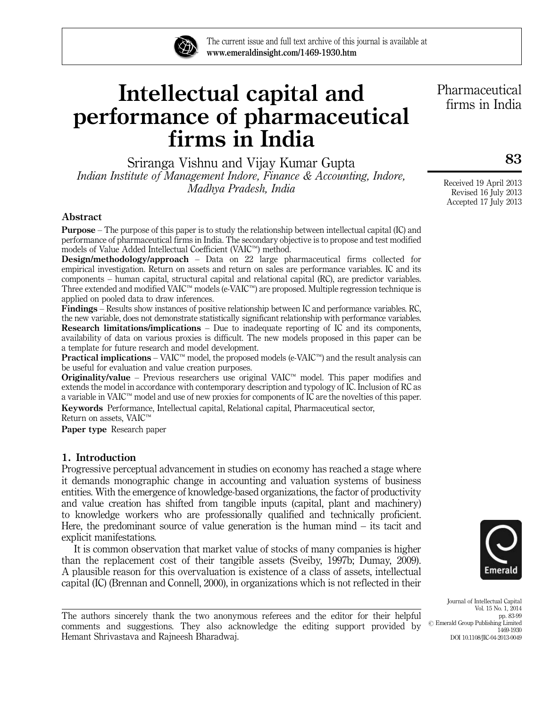

# Intellectual capital and performance of pharmaceutical firms in India

Sriranga Vishnu and Vijay Kumar Gupta *Indian Institute of Management Indore, Finance & Accounting, Indore, Madhya Pradesh, India*

# Abstract

Purpose – The purpose of this paper is to study the relationship between intellectual capital (IC) and performance of pharmaceutical firms in India. The secondary objective is to propose and test modified models of Value Added Intellectual Coefficient (VAIC<sup>™</sup>) method.

Design/methodology/approach – Data on 22 large pharmaceutical firms collected for empirical investigation. Return on assets and return on sales are performance variables. IC and its components – human capital, structural capital and relational capital (RC), are predictor variables. Three extended and modified VAIC<sup> $n_{\text{M}}$ </sup> models (e-VAIC $n_{\text{M}}$ ) are proposed. Multiple regression technique is applied on pooled data to draw inferences.

Findings – Results show instances of positive relationship between IC and performance variables. RC, the new variable, does not demonstrate statistically significant relationship with performance variables. Research limitations/implications – Due to inadequate reporting of IC and its components, availability of data on various proxies is difficult. The new models proposed in this paper can be a template for future research and model development.

**Practical implications** – VAIC<sup> $n$ </sup> model, the proposed models (e-VAIC $n$ ) and the result analysis can be useful for evaluation and value creation purposes.

Originality/value – Previous researchers use original VAIC<sup> $m$ </sup> model. This paper modifies and extends the model in accordance with contemporary description and typology of IC. Inclusion of RC as a variable in VAIC $\mathbb{N}$  model and use of new proxies for components of IC are the novelties of this paper. Keywords Performance, Intellectual capital, Relational capital, Pharmaceutical sector,

Return on assets, VAIC<sup>™</sup>

Paper type Research paper

# 1. Introduction

Progressive perceptual advancement in studies on economy has reached a stage where it demands monographic change in accounting and valuation systems of business entities. With the emergence of knowledge-based organizations, the factor of productivity and value creation has shifted from tangible inputs (capital, plant and machinery) to knowledge workers who are professionally qualified and technically proficient. Here, the predominant source of value generation is the human mind – its tacit and explicit manifestations.

It is common observation that market value of stocks of many companies is higher than the replacement cost of their tangible assets (Sveiby, 1997b; Dumay, 2009). A plausible reason for this overvaluation is existence of a class of assets, intellectual capital (IC) (Brennan and Connell, 2000), in organizations which is not reflected in their Pharmaceutical firms in India

83

Received 19 April 2013 Revised 16 July 2013 Accepted 17 July 2013



Journal of Intellectual Capital Vol. 15 No. 1, 2014 pp. 83-99  $\odot$  Emerald Group Publishing Limited 1469-1930 DOI 10.1108/JIC-04-2013-0049

The authors sincerely thank the two anonymous referees and the editor for their helpful comments and suggestions. They also acknowledge the editing support provided by Hemant Shrivastava and Rajneesh Bharadwaj.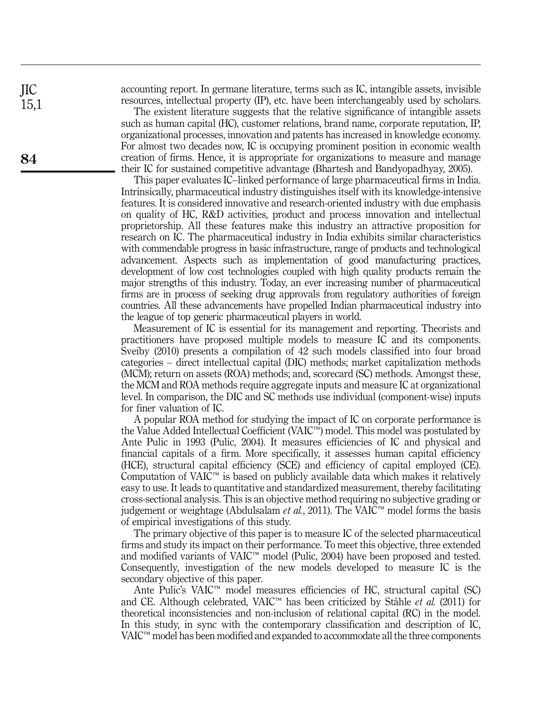accounting report. In germane literature, terms such as IC, intangible assets, invisible resources, intellectual property (IP), etc. have been interchangeably used by scholars.

The existent literature suggests that the relative significance of intangible assets such as human capital (HC), customer relations, brand name, corporate reputation, IP, organizational processes, innovation and patents has increased in knowledge economy. For almost two decades now, IC is occupying prominent position in economic wealth creation of firms. Hence, it is appropriate for organizations to measure and manage their IC for sustained competitive advantage (Bhartesh and Bandyopadhyay, 2005).

This paper evaluates IC–linked performance of large pharmaceutical firms in India. Intrinsically, pharmaceutical industry distinguishes itself with its knowledge-intensive features. It is considered innovative and research-oriented industry with due emphasis on quality of HC, R&D activities, product and process innovation and intellectual proprietorship. All these features make this industry an attractive proposition for research on IC. The pharmaceutical industry in India exhibits similar characteristics with commendable progress in basic infrastructure, range of products and technological advancement. Aspects such as implementation of good manufacturing practices, development of low cost technologies coupled with high quality products remain the major strengths of this industry. Today, an ever increasing number of pharmaceutical firms are in process of seeking drug approvals from regulatory authorities of foreign countries. All these advancements have propelled Indian pharmaceutical industry into the league of top generic pharmaceutical players in world.

Measurement of IC is essential for its management and reporting. Theorists and practitioners have proposed multiple models to measure IC and its components. Sveiby (2010) presents a compilation of 42 such models classified into four broad categories – direct intellectual capital (DIC) methods; market capitalization methods (MCM); return on assets (ROA) methods; and, scorecard (SC) methods. Amongst these, the MCM and ROA methods require aggregate inputs and measure IC at organizational level. In comparison, the DIC and SC methods use individual (component-wise) inputs for finer valuation of IC.

A popular ROA method for studying the impact of IC on corporate performance is the Value Added Intellectual Coefficient (VAIC<sup>TM</sup>) model. This model was postulated by Ante Pulic in 1993 (Pulic, 2004). It measures efficiencies of IC and physical and financial capitals of a firm. More specifically, it assesses human capital efficiency (HCE), structural capital efficiency (SCE) and efficiency of capital employed (CE). Computation of VAIC<sup> $M$ </sup> is based on publicly available data which makes it relatively easy to use. It leads to quantitative and standardized measurement, thereby facilitating cross-sectional analysis. This is an objective method requiring no subjective grading or judgement or weightage (Abdulsalam et al., 2011). The VAIC™ model forms the basis of empirical investigations of this study.

The primary objective of this paper is to measure IC of the selected pharmaceutical firms and study its impact on their performance. To meet this objective, three extended and modified variants of VAIC<sup>TM</sup> model (Pulic, 2004) have been proposed and tested. Consequently, investigation of the new models developed to measure IC is the secondary objective of this paper.

Ante Pulic's VAIC<sup>TM</sup> model measures efficiencies of HC, structural capital (SC) and CE. Although celebrated, VAIC<sup>TM</sup> has been criticized by Stahle *et al.* (2011) for theoretical inconsistencies and non-inclusion of relational capital (RC) in the model. In this study, in sync with the contemporary classification and description of IC,  $VALC^{\omega}$  model has been modified and expanded to accommodate all the three components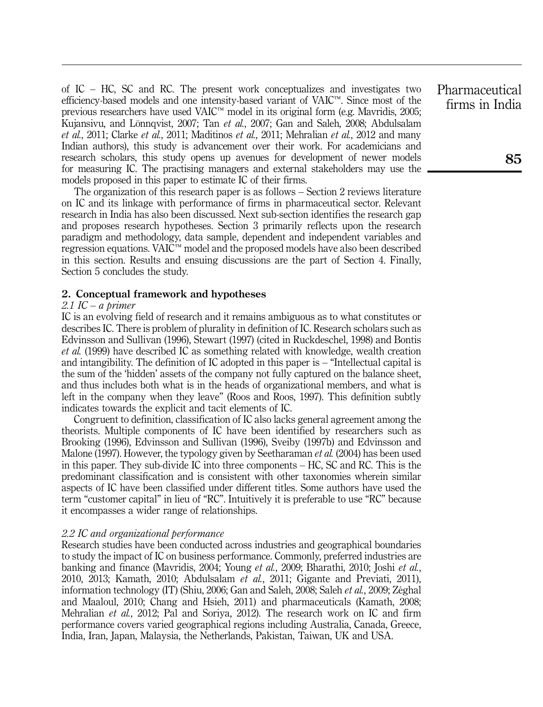of IC – HC, SC and RC. The present work conceptualizes and investigates two efficiency-based models and one intensity-based variant of  $VALC^M$ . Since most of the previous researchers have used VAIC<sup> $m$ </sup> model in its original form (e.g. Mavridis, 2005; Kujansivu, and Lönnqvist, 2007; Tan et al., 2007; Gan and Saleh, 2008; Abdulsalam *et al.*, 2011; Clarke *et al.*, 2011; Maditinos *et al.*, 2011; Mehralian *et al.*, 2012 and many Indian authors), this study is advancement over their work. For academicians and research scholars, this study opens up avenues for development of newer models for measuring IC. The practising managers and external stakeholders may use the models proposed in this paper to estimate IC of their firms.

The organization of this research paper is as follows – Section 2 reviews literature on IC and its linkage with performance of firms in pharmaceutical sector. Relevant research in India has also been discussed. Next sub-section identifies the research gap and proposes research hypotheses. Section 3 primarily reflects upon the research paradigm and methodology, data sample, dependent and independent variables and regression equations. VAIC™ model and the proposed models have also been described in this section. Results and ensuing discussions are the part of Section 4. Finally, Section 5 concludes the study.

# 2. Conceptual framework and hypotheses

# *2.1 IC – a primer*

IC is an evolving field of research and it remains ambiguous as to what constitutes or describes IC. There is problem of plurality in definition of IC. Research scholars such as Edvinsson and Sullivan (1996), Stewart (1997) (cited in Ruckdeschel, 1998) and Bontis *et al.* (1999) have described IC as something related with knowledge, wealth creation and intangibility. The definition of IC adopted in this paper is – "Intellectual capital is the sum of the 'hidden' assets of the company not fully captured on the balance sheet, and thus includes both what is in the heads of organizational members, and what is left in the company when they leave" (Roos and Roos, 1997). This definition subtly indicates towards the explicit and tacit elements of IC.

Congruent to definition, classification of IC also lacks general agreement among the theorists. Multiple components of IC have been identified by researchers such as Brooking (1996), Edvinsson and Sullivan (1996), Sveiby (1997b) and Edvinsson and Malone (1997). However, the typology given by Seetharaman *et al.* (2004) has been used in this paper. They sub-divide IC into three components – HC, SC and RC. This is the predominant classification and is consistent with other taxonomies wherein similar aspects of IC have been classified under different titles. Some authors have used the term "customer capital" in lieu of "RC". Intuitively it is preferable to use "RC" because it encompasses a wider range of relationships.

## *2.2 IC and organizational performance*

Research studies have been conducted across industries and geographical boundaries to study the impact of IC on business performance. Commonly, preferred industries are banking and finance (Mavridis, 2004; Young *et al.*, 2009; Bharathi, 2010; Joshi *et al.*, 2010, 2013; Kamath, 2010; Abdulsalam *et al.*, 2011; Gigante and Previati, 2011), information technology (IT) (Shiu, 2006; Gan and Saleh, 2008; Saleh et al., 2009; Zéghal and Maaloul, 2010; Chang and Hsieh, 2011) and pharmaceuticals (Kamath, 2008; Mehralian *et al.*, 2012; Pal and Soriya, 2012). The research work on IC and firm performance covers varied geographical regions including Australia, Canada, Greece, India, Iran, Japan, Malaysia, the Netherlands, Pakistan, Taiwan, UK and USA.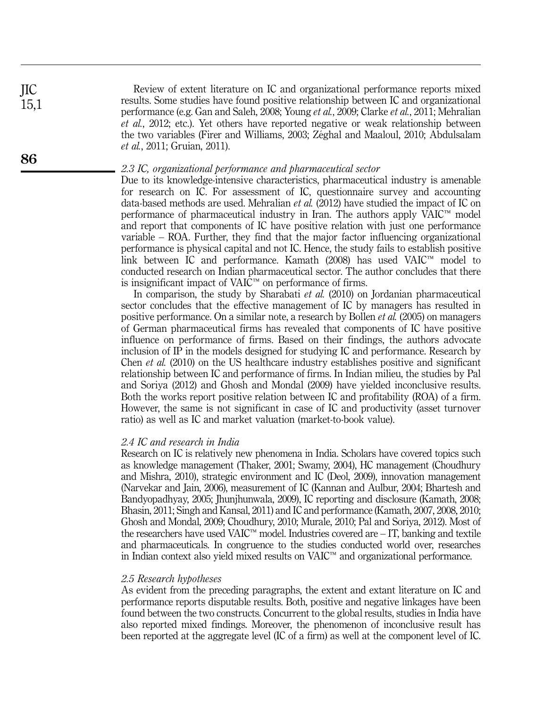Review of extent literature on IC and organizational performance reports mixed results. Some studies have found positive relationship between IC and organizational performance (e.g. Gan and Saleh, 2008; Young *et al.*, 2009; Clarke *et al.*, 2011; Mehralian *et al.*, 2012; etc.). Yet others have reported negative or weak relationship between the two variables (Firer and Williams, 2003; Zéghal and Maaloul, 2010; Abdulsalam *et al.*, 2011; Gruian, 2011).

## *2.3 IC, organizational performance and pharmaceutical sector*

Due to its knowledge-intensive characteristics, pharmaceutical industry is amenable for research on IC. For assessment of IC, questionnaire survey and accounting data-based methods are used. Mehralian *et al.* (2012) have studied the impact of IC on  $performance$  of pharmaceutical industry in Iran. The authors apply VAIC<sup> $m$ </sup> model and report that components of IC have positive relation with just one performance variable – ROA. Further, they find that the major factor influencing organizational performance is physical capital and not IC. Hence, the study fails to establish positive link between IC and performance. Kamath (2008) has used VAIC<sup> $M$ </sup> model to conducted research on Indian pharmaceutical sector. The author concludes that there is insignificant impact of VAIC<sup> $n$ </sup> on performance of firms.

In comparison, the study by Sharabati *et al.* (2010) on Jordanian pharmaceutical sector concludes that the effective management of IC by managers has resulted in positive performance. On a similar note, a research by Bollen *et al.* (2005) on managers of German pharmaceutical firms has revealed that components of IC have positive influence on performance of firms. Based on their findings, the authors advocate inclusion of IP in the models designed for studying IC and performance. Research by Chen *et al.* (2010) on the US healthcare industry establishes positive and significant relationship between IC and performance of firms. In Indian milieu, the studies by Pal and Soriya (2012) and Ghosh and Mondal (2009) have yielded inconclusive results. Both the works report positive relation between IC and profitability (ROA) of a firm. However, the same is not significant in case of IC and productivity (asset turnover ratio) as well as IC and market valuation (market-to-book value).

## *2.4 IC and research in India*

Research on IC is relatively new phenomena in India. Scholars have covered topics such as knowledge management (Thaker, 2001; Swamy, 2004), HC management (Choudhury and Mishra, 2010), strategic environment and IC (Deol, 2009), innovation management (Narvekar and Jain, 2006), measurement of IC (Kannan and Aulbur, 2004; Bhartesh and Bandyopadhyay, 2005; Jhunjhunwala, 2009), IC reporting and disclosure (Kamath, 2008; Bhasin, 2011; Singh and Kansal, 2011) and IC and performance (Kamath, 2007, 2008, 2010; Ghosh and Mondal, 2009; Choudhury, 2010; Murale, 2010; Pal and Soriya, 2012). Most of the researchers have used VAIC<sup> $n$ </sup> model. Industries covered are  $-$  IT, banking and textile and pharmaceuticals. In congruence to the studies conducted world over, researches in Indian context also yield mixed results on  $\text{VALC}^{\text{m}}$  and organizational performance.

## *2.5 Research hypotheses*

As evident from the preceding paragraphs, the extent and extant literature on IC and performance reports disputable results. Both, positive and negative linkages have been found between the two constructs. Concurrent to the global results, studies in India have also reported mixed findings. Moreover, the phenomenon of inconclusive result has been reported at the aggregate level (IC of a firm) as well at the component level of IC.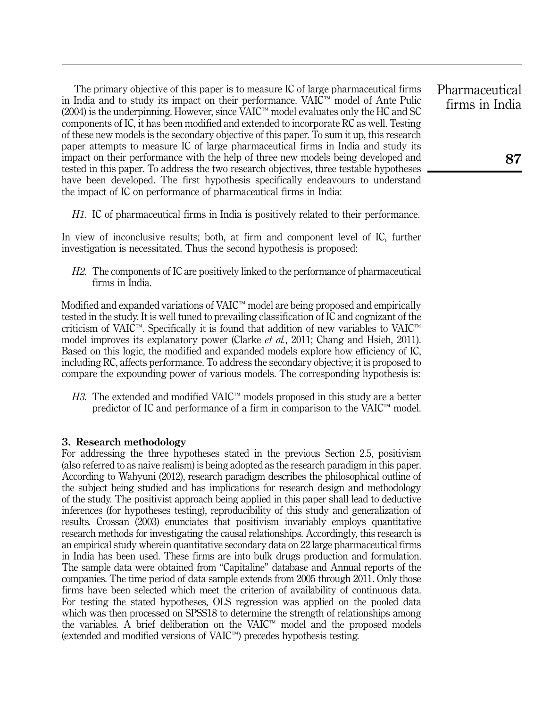The primary objective of this paper is to measure IC of large pharmaceutical firms in India and to study its impact on their performance. VAI $\overline{C}^{\scriptscriptstyle{\text{TM}}}$  model of Ante Pulic  $(2004)$  is the underpinning. However, since VAIC<sup> $M$ </sup> model evaluates only the HC and SC components of IC, it has been modified and extended to incorporate RC as well. Testing of these new models is the secondary objective of this paper. To sum it up, this research paper attempts to measure IC of large pharmaceutical firms in India and study its impact on their performance with the help of three new models being developed and tested in this paper. To address the two research objectives, three testable hypotheses have been developed. The first hypothesis specifically endeavours to understand the impact of IC on performance of pharmaceutical firms in India:

*H1.* IC of pharmaceutical firms in India is positively related to their performance.

In view of inconclusive results; both, at firm and component level of IC, further investigation is necessitated. Thus the second hypothesis is proposed:

*H2.* The components of IC are positively linked to the performance of pharmaceutical firms in India.

Modified and expanded variations of VAIC $\mathbb{M}$  model are being proposed and empirically tested in the study. It is well tuned to prevailing classification of IC and cognizant of the criticism of VAIC<sup>TM</sup>. Specifically it is found that addition of new variables to VAIC<sup>TM</sup> model improves its explanatory power (Clarke *et al.*, 2011; Chang and Hsieh, 2011). Based on this logic, the modified and expanded models explore how efficiency of IC, including RC, affects performance. To address the secondary objective; it is proposed to compare the expounding power of various models. The corresponding hypothesis is:

 $H3$ . The extended and modified VAIC<sup> $m$ </sup> models proposed in this study are a better predictor of IC and performance of a firm in comparison to the VAIC<sup> $m$ </sup> model.

# 3. Research methodology

For addressing the three hypotheses stated in the previous Section 2.5, positivism (also referred to as naive realism) is being adopted as the research paradigm in this paper. According to Wahyuni (2012), research paradigm describes the philosophical outline of the subject being studied and has implications for research design and methodology of the study. The positivist approach being applied in this paper shall lead to deductive inferences (for hypotheses testing), reproducibility of this study and generalization of results. Crossan (2003) enunciates that positivism invariably employs quantitative research methods for investigating the causal relationships. Accordingly, this research is an empirical study wherein quantitative secondary data on 22 large pharmaceutical firms in India has been used. These firms are into bulk drugs production and formulation. The sample data were obtained from "Capitaline" database and Annual reports of the companies. The time period of data sample extends from 2005 through 2011. Only those firms have been selected which meet the criterion of availability of continuous data. For testing the stated hypotheses, OLS regression was applied on the pooled data which was then processed on SPSS18 to determine the strength of relationships among the variables. A brief deliberation on the VAIC<sup> $m$ </sup> model and the proposed models (extended and modified versions of  $VALC^{m}$ ) precedes hypothesis testing.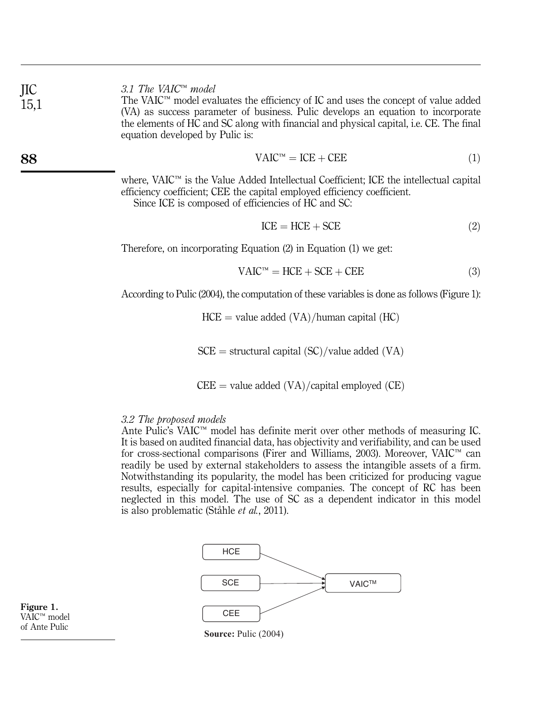*3.1 The VAIC™ model* The VAIC<sup>TM</sup> model evaluates the efficiency of IC and uses the concept of value added (VA) as success parameter of business. Pulic develops an equation to incorporate the elements of HC and SC along with financial and physical capital, i.e. CE. The final equation developed by Pulic is: JIC 15,1

$$
VALCTM = ICE + CEE
$$
 (1)

where,  $VALC^{\pi}$  is the Value Added Intellectual Coefficient; ICE the intellectual capital efficiency coefficient; CEE the capital employed efficiency coefficient. Since ICE is composed of efficiencies of HC and SC:

$$
ICE = HCE + SCE
$$
 (2)

Therefore, on incorporating Equation (2) in Equation (1) we get:

 $VAIC^{TM} = HCE + SCE + CEE$  (3)

According to Pulic (2004), the computation of these variables is done as follows (Figure 1):

 $HCE =$  value added  $(VA)/$ human capital  $(HC)$ 

 $SCE =$  structural capital  $(SC)/value$  added  $(VA)$ 

 $CEE = value added (VA)/capital employed (CE)$ 

#### *3.2 The proposed models*

Ante Pulic's VAIC™ model has definite merit over other methods of measuring IC. It is based on audited financial data, has objectivity and verifiability, and can be used for cross-sectional comparisons (Firer and Williams, 2003). Moreover, VAIC<sup>TM</sup> can readily be used by external stakeholders to assess the intangible assets of a firm. Notwithstanding its popularity, the model has been criticized for producing vague results, especially for capital-intensive companies. The concept of RC has been neglected in this model. The use of SC as a dependent indicator in this model is also problematic (Ståhle et al., 2011).



Figure 1.  $V\textrm{AIC}^{\textrm{TM}}$  model of Ante Pulic

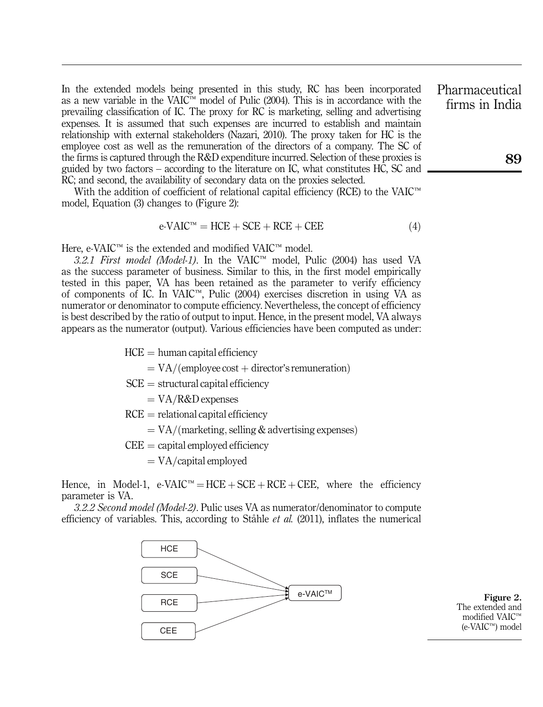In the extended models being presented in this study, RC has been incorporated as a new variable in the VAIC $\overline{C}^{\prime\prime\prime}$  model of Pulic (2004). This is in accordance with the prevailing classification of IC. The proxy for RC is marketing, selling and advertising expenses. It is assumed that such expenses are incurred to establish and maintain relationship with external stakeholders (Nazari, 2010). The proxy taken for HC is the employee cost as well as the remuneration of the directors of a company. The SC of the firms is captured through the R&D expenditure incurred. Selection of these proxies is guided by two factors – according to the literature on IC, what constitutes HC, SC and RC; and second, the availability of secondary data on the proxies selected.

With the addition of coefficient of relational capital efficiency (RCE) to the VAIC<sup> $M$ </sup> model, Equation (3) changes to (Figure 2):

$$
e\text{-}VAIC^{\text{TM}} = HCE + SCE + RCE + CEE \tag{4}
$$

Here, e-VAIC<sup>™</sup> is the extended and modified VAIC<sup>™</sup> model.

 $3.2.1$  First model (Model-1). In the VAIC<sup>IM</sup> model, Pulic (2004) has used VA as the success parameter of business. Similar to this, in the first model empirically tested in this paper, VA has been retained as the parameter to verify efficiency of components of IC. In VAIC<sup>TM</sup>, Pulic (2004) exercises discretion in using VA as numerator or denominator to compute efficiency. Nevertheless, the concept of efficiency is best described by the ratio of output to input. Hence, in the present model, VA always appears as the numerator (output). Various efficiencies have been computed as under:

 $HCE =$  human capital efficiency

 $= VA/(emptyee cost + director's remuneration)$ 

 $SCE =$  structural capital efficiency

 $= VA/R&D$  expenses

 $RCE =$  relational capital efficiency

 $= VA/(marketing, selling & advertising expenses)$ 

 $CEE =$  capital employed efficiency

 $= VA/capital$  employed

Hence, in Model-1,  $e\text{-}VAIC^{\text{M}} = HCE + SCE + RCE + CEE$ , where the efficiency parameter is VA.

*3.2.2 Second model (Model-2)*. Pulic uses VA as numerator/denominator to compute efficiency of variables. This, according to Ståhle  $et \ al.$  (2011), inflates the numerical



Figure 2. The extended and modified VAIC $T^M$  $(e-VAIC<sup>TM</sup>)$  model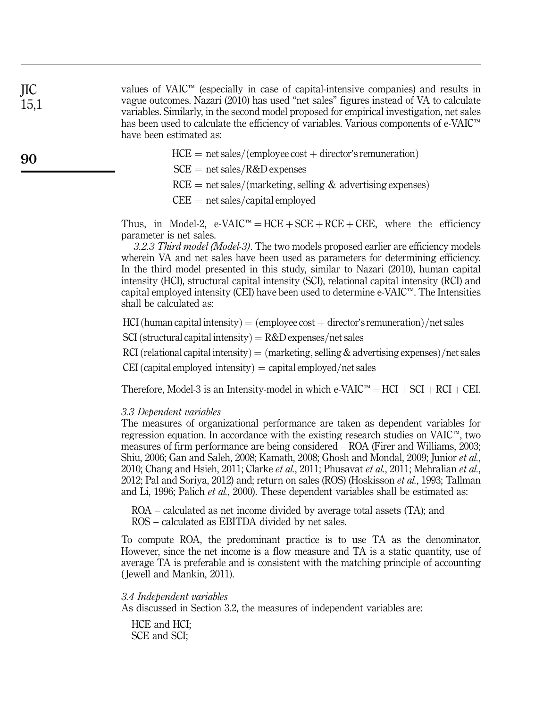values of VAIC<sup> $m$ </sup> (especially in case of capital-intensive companies) and results in vague outcomes. Nazari (2010) has used "net sales" figures instead of VA to calculate variables. Similarly, in the second model proposed for empirical investigation, net sales has been used to calculate the efficiency of variables. Various components of e-VAIC<sup> $m$ </sup> have been estimated as:

 $HCE = net sales/(employee cost + director's remuneration)$ 

 $SCE = net sales/R&D$  expenses

 $RCE = net sales/(marketing, selling & advertising expenses)$ 

 $CEE = net sales/capital employed$ 

Thus, in Model-2,  $e\text{-}VAIC^{\text{M}} = HCE + SCE + RCE + CEE$ , where the efficiency parameter is net sales.

*3.2.3 Third model (Model-3)*. The two models proposed earlier are efficiency models wherein VA and net sales have been used as parameters for determining efficiency. In the third model presented in this study, similar to Nazari (2010), human capital intensity (HCI), structural capital intensity (SCI), relational capital intensity (RCI) and capital employed intensity (CEI) have been used to determine  $e$ -VAIC<sup> $n$ </sup>. The Intensities shall be calculated as:

HCI (human capital intensity) = (employee cost  $+$  director's remuneration) /net sales

SCI (structural capital intensity) =  $R&D$  expenses/net sales

RCI (relational capital intensity) = (marketing, selling  $\&$  advertising expenses)/net sales

 $CEI$  (capital employed intensity) = capital employed/net sales

Therefore, Model-3 is an Intensity-model in which e-VAIC<sup> $m$ </sup> = HCI + SCI + RCI + CEI.

#### *3.3 Dependent variables*

The measures of organizational performance are taken as dependent variables for regression equation. In accordance with the existing research studies on  $VAC^M$ , two measures of firm performance are being considered – ROA (Firer and Williams, 2003; Shiu, 2006; Gan and Saleh, 2008; Kamath, 2008; Ghosh and Mondal, 2009; Junior *et al.*, 2010; Chang and Hsieh, 2011; Clarke *et al.*, 2011; Phusavat *et al.*, 2011; Mehralian *et al.*, 2012; Pal and Soriya, 2012) and; return on sales (ROS) (Hoskisson *et al.*, 1993; Tallman and Li, 1996; Palich *et al.*, 2000). These dependent variables shall be estimated as:

ROA – calculated as net income divided by average total assets (TA); and ROS – calculated as EBITDA divided by net sales.

To compute ROA, the predominant practice is to use TA as the denominator. However, since the net income is a flow measure and TA is a static quantity, use of average TA is preferable and is consistent with the matching principle of accounting ( Jewell and Mankin, 2011).

#### *3.4 Independent variables*

As discussed in Section 3.2, the measures of independent variables are:

HCE and HCI; SCE and SCI;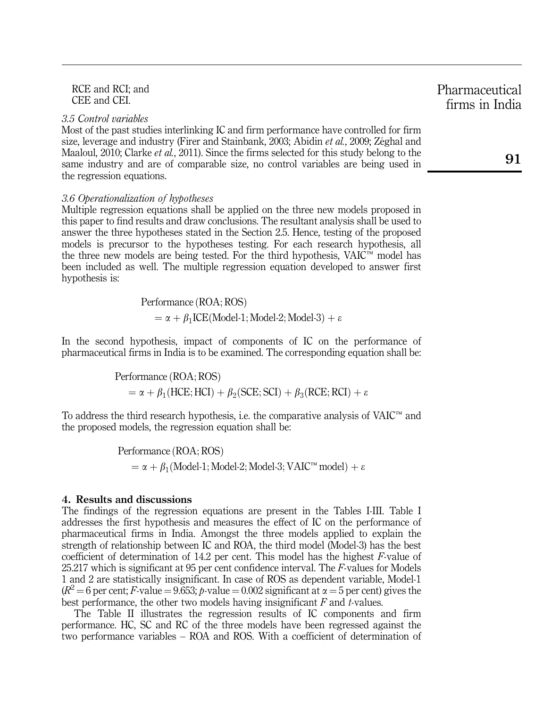| RCE and RCI; and | Pharmaceutical |
|------------------|----------------|
| CEE and CEI.     | firms in India |

91

# *3.5 Control variables*

Most of the past studies interlinking IC and firm performance have controlled for firm size, leverage and industry (Firer and Stainbank, 2003; Abidin *et al.*, 2009; Zéghal and Maaloul, 2010; Clarke *et al.*, 2011). Since the firms selected for this study belong to the same industry and are of comparable size, no control variables are being used in the regression equations.

## *3.6 Operationalization of hypotheses*

Multiple regression equations shall be applied on the three new models proposed in this paper to find results and draw conclusions. The resultant analysis shall be used to answer the three hypotheses stated in the Section 2.5. Hence, testing of the proposed models is precursor to the hypotheses testing. For each research hypothesis, all the three new models are being tested. For the third hypothesis,  $VAIC^{m}$  model has been included as well. The multiple regression equation developed to answer first hypothesis is:

> Performance (ROA; ROS)  $= \alpha + \beta_1 \text{ICE}(\text{Model-1}; \text{Model-2}; \text{Model-3}) + \varepsilon$

In the second hypothesis, impact of components of IC on the performance of pharmaceutical firms in India is to be examined. The corresponding equation shall be:

> Performance (ROA; ROS)  $= \alpha + \beta_1(\text{HCE}; \text{HCI}) + \beta_2(\text{SCE}; \text{SCI}) + \beta_3(\text{RCE}; \text{RCI}) + \varepsilon$

To address the third research hypothesis, i.e. the comparative analysis of  $VALC^{\omega}$  and the proposed models, the regression equation shall be:

> Performance (ROA; ROS)  $=\alpha + \beta_1(\text{Model-1}; \text{Model-2}; \text{Model-3}; \text{VALC}^{\text{TM}} \text{ model}) + \varepsilon$

## 4. Results and discussions

The findings of the regression equations are present in the Tables I-III. Table I addresses the first hypothesis and measures the effect of IC on the performance of pharmaceutical firms in India. Amongst the three models applied to explain the strength of relationship between IC and ROA, the third model (Model-3) has the best coefficient of determination of 14.2 per cent. This model has the highest *F*-value of 25.217 which is significant at 95 per cent confidence interval. The *F*-values for Models 1 and 2 are statistically insignificant. In case of ROS as dependent variable, Model-1  $(R^2 = 6$  per cent; *F*-value = 9.653; *p*-value = 0.002 significant at  $\alpha = 5$  per cent) gives the best performance, the other two models having insignificant *F* and *t*-values.

The Table II illustrates the regression results of IC components and firm performance. HC, SC and RC of the three models have been regressed against the two performance variables – ROA and ROS. With a coefficient of determination of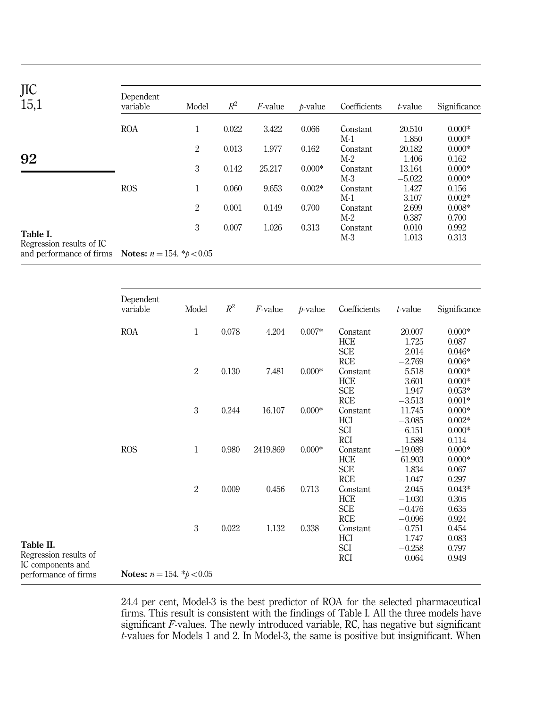| $\text{JIC}_{15,1}$                  | Dependent<br>variable           | Model          | $R^2$ | $F$ -value | $b-value$ | Coefficients             | t-value                  | Significance                  |
|--------------------------------------|---------------------------------|----------------|-------|------------|-----------|--------------------------|--------------------------|-------------------------------|
|                                      | <b>ROA</b>                      | 1              | 0.022 | 3.422      | 0.066     | Constant                 | 20.510                   | $0.000*$                      |
| 92                                   |                                 | $\overline{2}$ | 0.013 | 1.977      | 0.162     | M-1<br>Constant<br>$M-2$ | 1.850<br>20.182<br>1.406 | $0.000*$<br>$0.000*$<br>0.162 |
|                                      |                                 | 3              | 0.142 | 25.217     | $0.000*$  | Constant<br>$M-3$        | 13.164<br>$-5.022$       | $0.000*$<br>$0.000*$          |
|                                      | <b>ROS</b>                      | 1              | 0.060 | 9.653      | $0.002*$  | Constant<br>$M-1$        | 1.427<br>3.107           | 0.156<br>$0.002*$             |
|                                      |                                 | 2              | 0.001 | 0.149      | 0.700     | Constant<br>$M-2$        | 2.699<br>0.387           | $0.008*$<br>0.700             |
| Table I.<br>Regression results of IC |                                 | 3              | 0.007 | 1.026      | 0.313     | Constant<br>$M-3$        | 0.010<br>1.013           | 0.992<br>0.313                |
| and performance of firms             | Notes: $n = 154$ . * $b < 0.05$ |                |       |            |           |                          |                          |                               |

|                       | Dependent<br>variable           | Model            | $R^2$ | $F$ -value | $b-value$ | Coefficients                | t-value   | Significance |
|-----------------------|---------------------------------|------------------|-------|------------|-----------|-----------------------------|-----------|--------------|
|                       | <b>ROA</b>                      | $\mathbf{1}$     | 0.078 | 4.204      | $0.007*$  | Constant                    | 20.007    | $0.000*$     |
|                       |                                 |                  |       |            |           | HCE                         | 1.725     | 0.087        |
|                       |                                 |                  |       |            |           | <b>SCE</b>                  | 2.014     | $0.046*$     |
|                       |                                 |                  |       |            |           | $\ensuremath{\text{RCE}}$   | $-2.769$  | $0.006*$     |
|                       |                                 | $\overline{2}$   | 0.130 | 7.481      | $0.000*$  | Constant                    | 5.518     | $0.000*$     |
|                       |                                 |                  |       |            |           | HCE                         | 3.601     | $0.000*$     |
|                       |                                 |                  |       |            |           | <b>SCE</b>                  | 1.947     | $0.053*$     |
|                       |                                 |                  |       |            |           | RCE                         | $-3.513$  | $0.001*$     |
|                       |                                 | 3                | 0.244 | 16.107     | $0.000*$  | Constant                    | 11.745    | $0.000*$     |
|                       |                                 |                  |       |            |           | HCI                         | $-3.085$  | $0.002*$     |
|                       |                                 |                  |       |            |           | <b>SCI</b>                  | $-6.151$  | $0.000*$     |
|                       |                                 |                  |       |            |           | RCI                         | 1.589     | 0.114        |
|                       | <b>ROS</b>                      | $\mathbf{1}$     | 0.980 | 2419.869   | $0.000*$  | Constant                    | $-19.089$ | $0.000*$     |
|                       |                                 |                  |       |            |           | HCE                         | 61.903    | $0.000*$     |
|                       |                                 |                  |       |            |           | $\ensuremath{\mathsf{SCE}}$ | 1.834     | 0.067        |
|                       |                                 |                  |       |            |           | RCE                         | $-1.047$  | 0.297        |
|                       |                                 | $\boldsymbol{2}$ | 0.009 | 0.456      | 0.713     | Constant                    | 2.045     | $0.043*$     |
|                       |                                 |                  |       |            |           | ${\rm HCE}$                 | $-1.030$  | 0.305        |
|                       |                                 |                  |       |            |           | <b>SCE</b>                  | $-0.476$  | 0.635        |
|                       |                                 |                  |       |            |           | $\ensuremath{\text{RCE}}$   | $-0.096$  | 0.924        |
|                       |                                 | 3                | 0.022 | 1.132      | 0.338     | Constant                    | $-0.751$  | 0.454        |
| Table II.             |                                 |                  |       |            |           | HCI                         | 1.747     | 0.083        |
| Regression results of |                                 |                  |       |            |           | SCI                         | $-0.258$  | 0.797        |
| IC components and     |                                 |                  |       |            |           | RCI                         | 0.064     | 0.949        |
| performance of firms  | Notes: $n = 154$ . * $p < 0.05$ |                  |       |            |           |                             |           |              |
|                       |                                 |                  |       |            |           |                             |           |              |

> 24.4 per cent, Model-3 is the best predictor of ROA for the selected pharmaceutical firms. This result is consistent with the findings of Table I. All the three models have significant *F*-values. The newly introduced variable, RC, has negative but significant *t*-values for Models 1 and 2. In Model-3, the same is positive but insignificant. When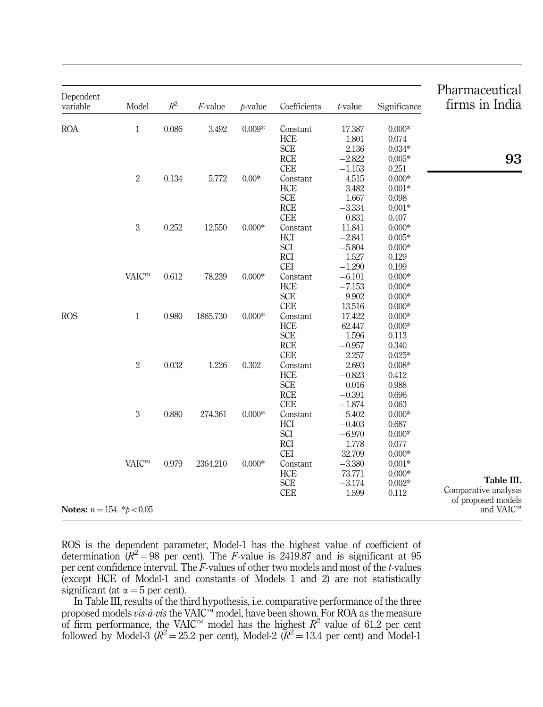| Dependent<br>variable           | Model            | $\mathbb{R}^2$ | $F$ -value | $p$ -value | Coefficients                                                     | $t$ -value                                            | Significance                                          | Pharmaceutical<br>firms in India   |
|---------------------------------|------------------|----------------|------------|------------|------------------------------------------------------------------|-------------------------------------------------------|-------------------------------------------------------|------------------------------------|
| <b>ROA</b>                      | $\mathbf{1}$     | 0.086          | 3.492      | $0.009*$   | Constant<br><b>HCE</b><br><b>SCE</b><br><b>RCE</b>               | 17.387<br>1.801<br>2.136<br>$-2.822$                  | $0.000*$<br>0.074<br>$0.034*$<br>$0.005*$             | 93                                 |
|                                 | $\boldsymbol{2}$ | 0.134          | 5.772      | $0.00*$    | <b>CEE</b><br>Constant<br><b>HCE</b><br><b>SCE</b><br><b>RCE</b> | $-1.153$<br>4.515<br>3.482<br>1.667<br>$-3.334$       | 0.251<br>$0.000*$<br>$0.001*$<br>0.098<br>$0.001*$    |                                    |
|                                 | 3                | 0.252          | 12.550     | $0.000*$   | <b>CEE</b><br>Constant<br>HCI<br><b>SCI</b><br><b>RCI</b>        | 0.831<br>11.841<br>$-2.841$<br>$-5.804$<br>1.527      | 0.407<br>$0.000*$<br>$0.005*$<br>$0.000*$<br>0.129    |                                    |
|                                 | VAIC™            | 0.612          | 78.239     | $0.000*$   | <b>CEI</b><br>Constant<br><b>HCE</b><br><b>SCE</b><br><b>CEE</b> | $-1.290$<br>$-6.101$<br>$-7.153$<br>9.902<br>13.516   | 0.199<br>$0.000*$<br>$0.000*$<br>$0.000*$<br>$0.000*$ |                                    |
| <b>ROS</b>                      | $\mathbf{1}$     | 0.980          | 1865.730   | $0.000*$   | Constant<br><b>HCE</b><br><b>SCE</b><br><b>RCE</b>               | $-17.422$<br>62.447<br>1.596<br>$-0.957$              | $0.000*$<br>$0.000*$<br>0.113<br>0.340                |                                    |
|                                 | $\boldsymbol{2}$ | 0.032          | 1.226      | 0.302      | <b>CEE</b><br>Constant<br><b>HCE</b><br><b>SCE</b><br><b>RCE</b> | 2.257<br>2.693<br>$-0.823$<br>0.016<br>$-0.391$       | $0.025*$<br>$0.008*$<br>0.412<br>0.988<br>0.696       |                                    |
|                                 | $\sqrt{3}$       | 0.880          | 274.361    | $0.000*$   | <b>CEE</b><br>Constant<br>HCI<br><b>SCI</b><br><b>RCI</b>        | $-1.874$<br>$-5.402$<br>$-0.403$<br>$-6.970$<br>1.778 | 0.063<br>$0.000*$<br>0.687<br>$0.000*$<br>0.077       |                                    |
|                                 | VAIC™            | 0.979          | 2364.210   | $0.000*$   | <b>CEI</b><br>Constant<br><b>HCE</b><br><b>SCE</b><br><b>CEE</b> | 32.709<br>$-3.380$<br>73.771<br>$-3.174$<br>1.599     | $0.000*$<br>$0.001*$<br>$0.000*$<br>$0.002*$<br>0.112 | Table III.<br>Comparative analysis |
| Notes: $n = 154$ . * $p < 0.05$ |                  |                |            |            |                                                                  |                                                       |                                                       | of proposed models<br>and VAIC™    |

ROS is the dependent parameter, Model-1 has the highest value of coefficient of determination  $(R^2 = 98$  per cent). The *F*-value is 2419.87 and is significant at 95 per cent confidence interval. The *F*-values of other two models and most of the *t*-values (except HCE of Model-1 and constants of Models 1 and 2) are not statistically significant (at  $\alpha = 5$  per cent).

In Table III, results of the third hypothesis, i.e. comparative performance of the three proposed models *vis-à-vis* the VAIC™ model, have been shown. For ROA as the measure of firm performance, the VAIC<sup>TM</sup> model has the highest  $R^2$  value of 61.2 per cent followed by Model-3 ( $R^2 = 25.2$  per cent), Model-2 ( $\overline{R}^2 = 13.4$  per cent) and Model-1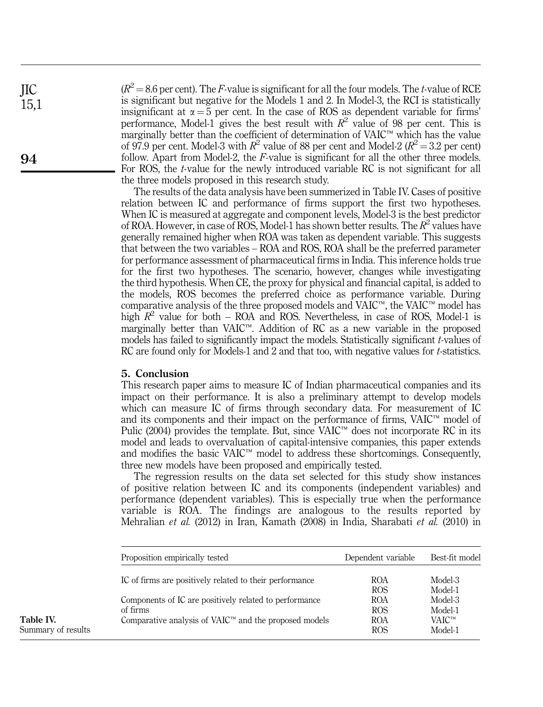$(R^2 = 8.6$  per cent). The *F*-value is significant for all the four models. The *t*-value of RCE is significant but negative for the Models 1 and 2. In Model-3, the RCI is statistically insignificant at  $\alpha = 5$  per cent. In the case of ROS as dependent variable for firms' performance, Model-1 gives the best result with  $R^2$  value of 98 per cent. This is marginally better than the coefficient of determination of  $\text{VAL}C^{\text{m}}$  which has the value of 97.9 per cent. Model-3 with  $R^2$  value of 88 per cent and Model-2 ( $R^2 = 3.2$  per cent) follow. Apart from Model-2, the *F*-value is significant for all the other three models. For ROS, the *t*-value for the newly introduced variable RC is not significant for all the three models proposed in this research study.

The results of the data analysis have been summerized in Table IV. Cases of positive relation between IC and performance of firms support the first two hypotheses. When IC is measured at aggregate and component levels, Model-3 is the best predictor of ROA. However, in case of ROS, Model-1 has shown better results. The  $R^2$  values have generally remained higher when ROA was taken as dependent variable. This suggests that between the two variables – ROA and ROS, ROA shall be the preferred parameter for performance assessment of pharmaceutical firms in India. This inference holds true for the first two hypotheses. The scenario, however, changes while investigating the third hypothesis. When CE, the proxy for physical and financial capital, is added to the models, ROS becomes the preferred choice as performance variable. During comparative analysis of the three proposed models and VAIC™, the VAIC™ model has high  $R^2$  value for both – ROA and ROS. Nevertheless, in case of ROS, Model-1 is marginally better than VAIC<sup>TM</sup>. Addition of RC as a new variable in the proposed models has failed to significantly impact the models. Statistically significant *t*-values of RC are found only for Models-1 and 2 and that too, with negative values for *t*-statistics.

# 5. Conclusion

This research paper aims to measure IC of Indian pharmaceutical companies and its impact on their performance. It is also a preliminary attempt to develop models which can measure IC of firms through secondary data. For measurement of IC and its components and their impact on the performance of firms,  $VAIC^m$  model of Pulic (2004) provides the template. But, since  $VAL{C<sup>TM</sup>}$  does not incorporate RC in its model and leads to overvaluation of capital-intensive companies, this paper extends and modifies the basic VAIC<sup> $M$ </sup> model to address these shortcomings. Consequently, three new models have been proposed and empirically tested.

The regression results on the data set selected for this study show instances of positive relation between IC and its components (independent variables) and performance (dependent variables). This is especially true when the performance variable is ROA. The findings are analogous to the results reported by Mehralian *et al.* (2012) in Iran, Kamath (2008) in India, Sharabati *et al.* (2010) in

| Dependent variable                                                     | Best-fit model |  |
|------------------------------------------------------------------------|----------------|--|
| ROA                                                                    | Model-3        |  |
| <b>ROS</b>                                                             | Model-1        |  |
| <b>ROA</b>                                                             | Model-3        |  |
| <b>ROS</b>                                                             | Model-1        |  |
| Comparative analysis of $VAICTM$ and the proposed models<br><b>ROA</b> | VAIC™          |  |
| <b>ROS</b>                                                             | Model-1        |  |
|                                                                        |                |  |

JIC 15,1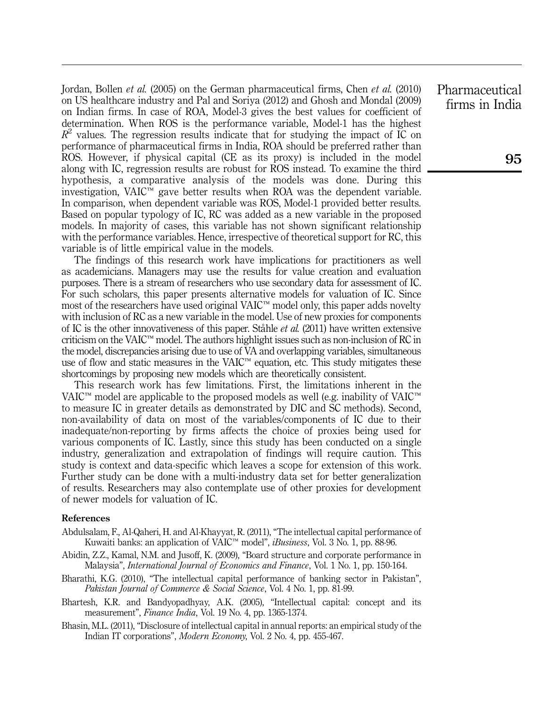Jordan, Bollen *et al.* (2005) on the German pharmaceutical firms, Chen *et al.* (2010) on US healthcare industry and Pal and Soriya (2012) and Ghosh and Mondal (2009) on Indian firms. In case of ROA, Model-3 gives the best values for coefficient of determination. When ROS is the performance variable, Model-1 has the highest  $R^2$  values. The regression results indicate that for studying the impact of IC on performance of pharmaceutical firms in India, ROA should be preferred rather than ROS. However, if physical capital (CE as its proxy) is included in the model along with IC, regression results are robust for ROS instead. To examine the third hypothesis, a comparative analysis of the models was done. During this investigation, VAIC<sup>TM</sup> gave better results when ROA was the dependent variable. In comparison, when dependent variable was ROS, Model-1 provided better results. Based on popular typology of IC, RC was added as a new variable in the proposed models. In majority of cases, this variable has not shown significant relationship with the performance variables. Hence, irrespective of theoretical support for RC, this variable is of little empirical value in the models.

The findings of this research work have implications for practitioners as well as academicians. Managers may use the results for value creation and evaluation purposes. There is a stream of researchers who use secondary data for assessment of IC. For such scholars, this paper presents alternative models for valuation of IC. Since most of the researchers have used original VAIC<sup> $m$ </sup> model only, this paper adds novelty with inclusion of RC as a new variable in the model. Use of new proxies for components of IC is the other innovativeness of this paper. Ståhle *et al.* (2011) have written extensive criticism on the VAIC<sup>TM</sup> model. The authors highlight issues such as non-inclusion of RC in the model, discrepancies arising due to use of VA and overlapping variables, simultaneous use of flow and static measures in the VAIC $\mathbb{M}$  equation, etc. This study mitigates these shortcomings by proposing new models which are theoretically consistent.

This research work has few limitations. First, the limitations inherent in the VAIC<sup>TM</sup> model are applicable to the proposed models as well (e.g. inability of VAIC<sup>TM</sup> to measure IC in greater details as demonstrated by DIC and SC methods). Second, non-availability of data on most of the variables/components of IC due to their inadequate/non-reporting by firms affects the choice of proxies being used for various components of IC. Lastly, since this study has been conducted on a single industry, generalization and extrapolation of findings will require caution. This study is context and data-specific which leaves a scope for extension of this work. Further study can be done with a multi-industry data set for better generalization of results. Researchers may also contemplate use of other proxies for development of newer models for valuation of IC.

## References

- Abdulsalam, F., Al-Qaheri, H. and Al-Khayyat, R. (2011), "The intellectual capital performance of Kuwaiti banks: an application of VAIC™ model", *iBusiness*, Vol. 3 No. 1, pp. 88-96.
- Abidin, Z.Z., Kamal, N.M. and Jusoff, K. (2009), "Board structure and corporate performance in Malaysia", *International Journal of Economics and Finance*, Vol. 1 No. 1, pp. 150-164.
- Bharathi, K.G. (2010), "The intellectual capital performance of banking sector in Pakistan", *Pakistan Journal of Commerce & Social Science*, Vol. 4 No. 1, pp. 81-99.
- Bhartesh, K.R. and Bandyopadhyay, A.K. (2005), "Intellectual capital: concept and its measurement", *Finance India*, Vol. 19 No. 4, pp. 1365-1374.
- Bhasin, M.L. (2011), "Disclosure of intellectual capital in annual reports: an empirical study of the Indian IT corporations", *Modern Economy*, Vol. 2 No. 4, pp. 455-467.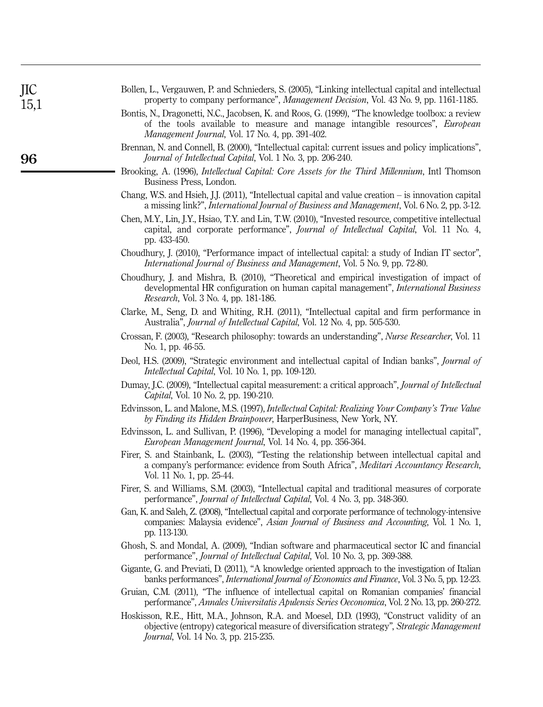| Bollen, L., Vergauwen, P. and Schnieders, S. (2005), "Linking intellectual capital and intellectual<br>property to company performance", Management Decision, Vol. 43 No. 9, pp. 1161-1185.                                                 |
|---------------------------------------------------------------------------------------------------------------------------------------------------------------------------------------------------------------------------------------------|
| Bontis, N., Dragonetti, N.C., Jacobsen, K. and Roos, G. (1999), "The knowledge toolbox: a review<br>of the tools available to measure and manage intangible resources", <i>European</i><br>Management Journal, Vol. 17 No. 4, pp. 391-402.  |
| Brennan, N. and Connell, B. (2000), "Intellectual capital: current issues and policy implications",<br>Journal of Intellectual Capital, Vol. 1 No. 3, pp. 206-240.                                                                          |
| Brooking, A. (1996), Intellectual Capital: Core Assets for the Third Millennium, Intl Thomson<br>Business Press, London.                                                                                                                    |
| Chang, W.S. and Hsieh, J.J. (2011), "Intellectual capital and value creation $-$ is innovation capital<br>a missing link?", International Journal of Business and Management, Vol. 6 No. 2, pp. 3-12.                                       |
| Chen, M.Y., Lin, J.Y., Hsiao, T.Y. and Lin, T.W. (2010), "Invested resource, competitive intellectual<br>capital, and corporate performance", Journal of Intellectual Capital, Vol. 11 No. 4,<br>pp. 433-450.                               |
| Choudhury, J. (2010), "Performance impact of intellectual capital: a study of Indian IT sector",<br>International Journal of Business and Management, Vol. 5 No. 9, pp. 72-80.                                                              |
| Choudhury, J. and Mishra, B. (2010), "Theoretical and empirical investigation of impact of<br>developmental HR configuration on human capital management", International Business<br>Research, Vol. 3 No. 4, pp. 181-186.                   |
| Clarke, M., Seng, D. and Whiting, R.H. (2011), "Intellectual capital and firm performance in<br>Australia", Journal of Intellectual Capital, Vol. 12 No. 4, pp. 505-530.                                                                    |
| Crossan, F. (2003), "Research philosophy: towards an understanding", Nurse Researcher, Vol. 11<br>No. 1, pp. 46-55.                                                                                                                         |
| Deol, H.S. (2009), "Strategic environment and intellectual capital of Indian banks", Journal of<br>Intellectual Capital, Vol. 10 No. 1, pp. 109-120.                                                                                        |
| Dumay, J.C. (2009), "Intellectual capital measurement: a critical approach", Journal of Intellectual<br>Capital, Vol. 10 No. 2, pp. 190-210.                                                                                                |
| Edvinsson, L. and Malone, M.S. (1997), Intellectual Capital: Realizing Your Company's True Value<br>by Finding its Hidden Brainpower, HarperBusiness, New York, NY.                                                                         |
| Edvinsson, L. and Sullivan, P. (1996), "Developing a model for managing intellectual capital",<br>European Management Journal, Vol. 14 No. 4, pp. 356-364.                                                                                  |
| Firer, S. and Stainbank, L. (2003), "Testing the relationship between intellectual capital and<br>a company's performance: evidence from South Africa", Meditari Accountancy Research,<br>Vol. 11 No. 1, pp. 25-44.                         |
| Firer, S. and Williams, S.M. (2003), "Intellectual capital and traditional measures of corporate<br>performance", Journal of Intellectual Capital, Vol. 4 No. 3, pp. 348-360.                                                               |
| Gan, K. and Saleh, Z. (2008), "Intellectual capital and corporate performance of technology-intensive<br>companies: Malaysia evidence", Asian Journal of Business and Accounting, Vol. 1 No. 1,<br>pp. 113-130.                             |
| Ghosh, S. and Mondal, A. (2009), "Indian software and pharmaceutical sector IC and financial<br>performance", Journal of Intellectual Capital, Vol. 10 No. 3, pp. 369-388.                                                                  |
| Gigante, G. and Previati, D. (2011), "A knowledge oriented approach to the investigation of Italian<br>banks performances", International Journal of Economics and Finance, Vol. 3 No. 5, pp. 12-23.                                        |
| Gruian, C.M. (2011), "The influence of intellectual capital on Romanian companies' financial<br>performance", Annales Universitatis Apulensis Series Oeconomica, Vol. 2 No. 13, pp. 260-272.                                                |
| Hoskisson, R.E., Hitt, M.A., Johnson, R.A. and Moesel, D.D. (1993), "Construct validity of an<br>objective (entropy) categorical measure of diversification strategy", Strategic Management<br><i>Journal</i> , Vol. 14 No. 3, pp. 215-235. |
|                                                                                                                                                                                                                                             |

96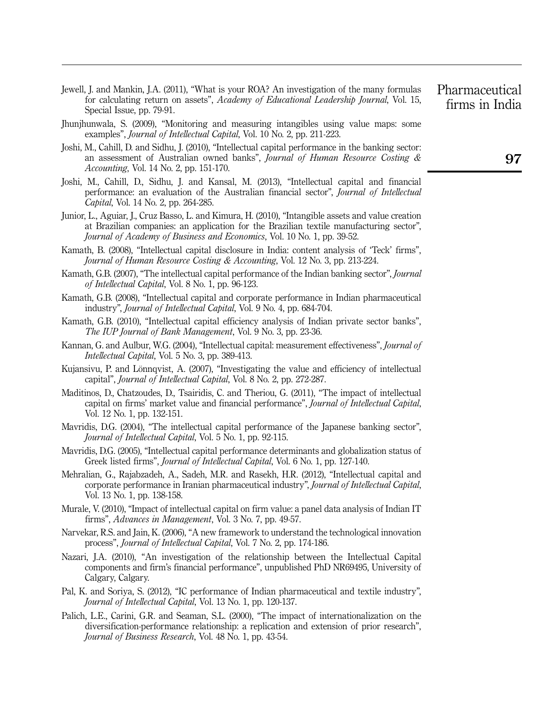- Jewell, J. and Mankin, J.A. (2011), "What is your ROA? An investigation of the many formulas for calculating return on assets", *Academy of Educational Leadership Journal*, Vol. 15, Special Issue, pp. 79-91.
- Jhunjhunwala, S. (2009), "Monitoring and measuring intangibles using value maps: some examples", *Journal of Intellectual Capital*, Vol. 10 No. 2, pp. 211-223.
- Joshi, M., Cahill, D. and Sidhu, J. (2010), "Intellectual capital performance in the banking sector: an assessment of Australian owned banks", *Journal of Human Resource Costing & Accounting*, Vol. 14 No. 2, pp. 151-170.
- Joshi, M., Cahill, D., Sidhu, J. and Kansal, M. (2013), "Intellectual capital and financial performance: an evaluation of the Australian financial sector", *Journal of Intellectual Capital*, Vol. 14 No. 2, pp. 264-285.
- Junior, L., Aguiar, J., Cruz Basso, L. and Kimura, H. (2010), "Intangible assets and value creation at Brazilian companies: an application for the Brazilian textile manufacturing sector", *Journal of Academy of Business and Economics*, Vol. 10 No. 1, pp. 39-52.
- Kamath, B. (2008), "Intellectual capital disclosure in India: content analysis of 'Teck' firms", *Journal of Human Resource Costing & Accounting*, Vol. 12 No. 3, pp. 213-224.
- Kamath, G.B. (2007), "The intellectual capital performance of the Indian banking sector", *Journal of Intellectual Capital*, Vol. 8 No. 1, pp. 96-123.
- Kamath, G.B. (2008), "Intellectual capital and corporate performance in Indian pharmaceutical industry", *Journal of Intellectual Capital*, Vol. 9 No. 4, pp. 684-704.
- Kamath, G.B. (2010), "Intellectual capital efficiency analysis of Indian private sector banks", *The IUP Journal of Bank Management*, Vol. 9 No. 3, pp. 23-36.
- Kannan, G. and Aulbur, W.G. (2004), "Intellectual capital: measurement effectiveness", *Journal of Intellectual Capital*, Vol. 5 No. 3, pp. 389-413.
- Kujansivu, P. and Lönnqvist, A. (2007), "Investigating the value and efficiency of intellectual capital", *Journal of Intellectual Capital*, Vol. 8 No. 2, pp. 272-287.
- Maditinos, D., Chatzoudes, D., Tsairidis, C. and Theriou, G. (2011), "The impact of intellectual capital on firms' market value and financial performance", *Journal of Intellectual Capital*, Vol. 12 No. 1, pp. 132-151.
- Mavridis, D.G. (2004), "The intellectual capital performance of the Japanese banking sector", *Journal of Intellectual Capital*, Vol. 5 No. 1, pp. 92-115.
- Mavridis, D.G. (2005), "Intellectual capital performance determinants and globalization status of Greek listed firms", *Journal of Intellectual Capital*, Vol. 6 No. 1, pp. 127-140.
- Mehralian, G., Rajabzadeh, A., Sadeh, M.R. and Rasekh, H.R. (2012), "Intellectual capital and corporate performance in Iranian pharmaceutical industry", *Journal of Intellectual Capital*, Vol. 13 No. 1, pp. 138-158.
- Murale, V. (2010), "Impact of intellectual capital on firm value: a panel data analysis of Indian IT firms", *Advances in Management*, Vol. 3 No. 7, pp. 49-57.
- Narvekar, R.S. and Jain, K. (2006), "A new framework to understand the technological innovation process", *Journal of Intellectual Capital*, Vol. 7 No. 2, pp. 174-186.
- Nazari, J.A. (2010), "An investigation of the relationship between the Intellectual Capital components and firm's financial performance", unpublished PhD NR69495, University of Calgary, Calgary.
- Pal, K. and Soriya, S. (2012), "IC performance of Indian pharmaceutical and textile industry", *Journal of Intellectual Capital*, Vol. 13 No. 1, pp. 120-137.
- Palich, L.E., Carini, G.R. and Seaman, S.L. (2000), "The impact of internationalization on the diversification-performance relationship: a replication and extension of prior research", *Journal of Business Research*, Vol. 48 No. 1, pp. 43-54.

Pharmaceutical firms in India

97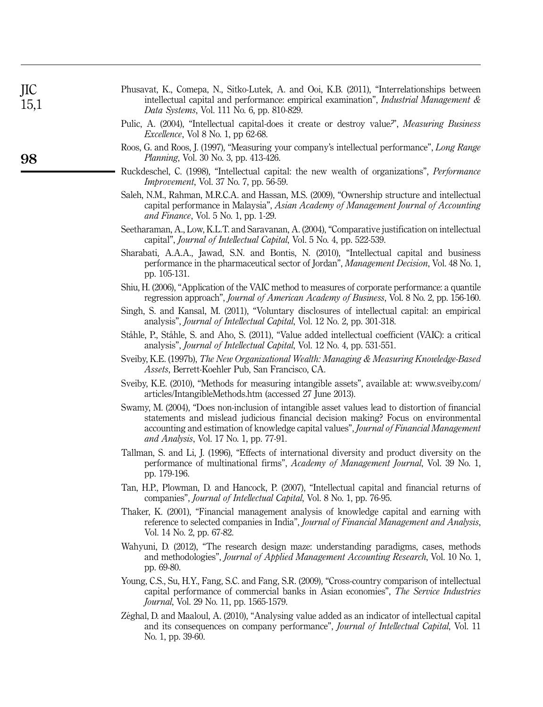| Phusavat, K., Comepa, N., Sitko-Lutek, A. and Ooi, K.B. (2011), "Interrelationships between<br>intellectual capital and performance: empirical examination", <i>Industrial Management</i> &<br>Data Systems, Vol. 111 No. 6, pp. 810-829.                                                                                    |
|------------------------------------------------------------------------------------------------------------------------------------------------------------------------------------------------------------------------------------------------------------------------------------------------------------------------------|
| Pulic, A. (2004), "Intellectual capital-does it create or destroy value?", Measuring Business<br><i>Excellence</i> , Vol 8 No. 1, pp 62-68.                                                                                                                                                                                  |
| Roos, G. and Roos, J. (1997), "Measuring your company's intellectual performance", Long Range<br><i>Planning</i> , Vol. 30 No. 3, pp. 413-426.                                                                                                                                                                               |
| Ruckdeschel, C. (1998), "Intellectual capital: the new wealth of organizations", <i>Performance</i><br>Improvement, Vol. 37 No. 7, pp. 56-59.                                                                                                                                                                                |
| Saleh, N.M., Rahman, M.R.C.A. and Hassan, M.S. (2009), "Ownership structure and intellectual<br>capital performance in Malaysia", Asian Academy of Management Journal of Accounting<br>and Finance, Vol. 5 No. 1, pp. 1-29.                                                                                                  |
| Seetharaman, A., Low, K.L.T. and Saravanan, A. (2004), "Comparative justification on intellectual<br>capital", <i>Journal of Intellectual Capital</i> , Vol. 5 No. 4, pp. 522-539.                                                                                                                                           |
| Sharabati, A.A.A., Jawad, S.N. and Bontis, N. (2010), "Intellectual capital and business<br>performance in the pharmaceutical sector of Jordan", Management Decision, Vol. 48 No. 1,<br>pp. 105-131.                                                                                                                         |
| Shiu, H. (2006), "Application of the VAIC method to measures of corporate performance: a quantile<br>regression approach", Journal of American Academy of Business, Vol. 8 No. 2, pp. 156-160.                                                                                                                               |
| Singh, S. and Kansal, M. (2011), "Voluntary disclosures of intellectual capital: an empirical<br>analysis", Journal of Intellectual Capital, Vol. 12 No. 2, pp. 301-318.                                                                                                                                                     |
| Ståhle, P., Ståhle, S. and Aho, S. (2011), "Value added intellectual coefficient (VAIC): a critical<br>analysis", Journal of Intellectual Capital, Vol. 12 No. 4, pp. 531-551.                                                                                                                                               |
| Sveiby, K.E. (1997b), The New Organizational Wealth: Managing & Measuring Knowledge-Based<br>Assets, Berrett-Koehler Pub, San Francisco, CA.                                                                                                                                                                                 |
| Sveiby, K.E. (2010), "Methods for measuring intangible assets", available at: www.sveiby.com/<br>articles/IntangibleMethods.htm (accessed 27 June 2013).                                                                                                                                                                     |
| Swamy, M. (2004), "Does non-inclusion of intangible asset values lead to distortion of financial<br>statements and mislead judicious financial decision making? Focus on environmental<br>accounting and estimation of knowledge capital values", Journal of Financial Management<br>and Analysis, Vol. 17 No. 1, pp. 77-91. |
| Tallman, S. and Li, J. (1996), "Effects of international diversity and product diversity on the<br>performance of multinational firms", Academy of Management Journal, Vol. 39 No. 1,<br>pp. 179-196.                                                                                                                        |
| Tan, H.P., Plowman, D. and Hancock, P. (2007), "Intellectual capital and financial returns of<br>companies", Journal of Intellectual Capital, Vol. 8 No. 1, pp. 76-95.                                                                                                                                                       |
| Thaker, K. (2001), "Financial management analysis of knowledge capital and earning with<br>reference to selected companies in India", Journal of Financial Management and Analysis,<br>Vol. 14 No. 2, pp. 67-82.                                                                                                             |
| Wahyuni, D. (2012), "The research design maze: understanding paradigms, cases, methods<br>and methodologies", Journal of Applied Management Accounting Research, Vol. 10 No. 1,<br>pp. 69-80.                                                                                                                                |
| Young, C.S., Su, H.Y., Fang, S.C. and Fang, S.R. (2009), "Cross-country comparison of intellectual<br>capital performance of commercial banks in Asian economies", The Service Industries<br>Journal, Vol. 29 No. 11, pp. 1565-1579.                                                                                         |
| Zéghal, D. and Maaloul, A. (2010), "Analysing value added as an indicator of intellectual capital<br>and its consequences on company performance", <i>Journal of Intellectual Capital</i> , Vol. 11<br>No. 1, pp. 39-60.                                                                                                     |
|                                                                                                                                                                                                                                                                                                                              |

98